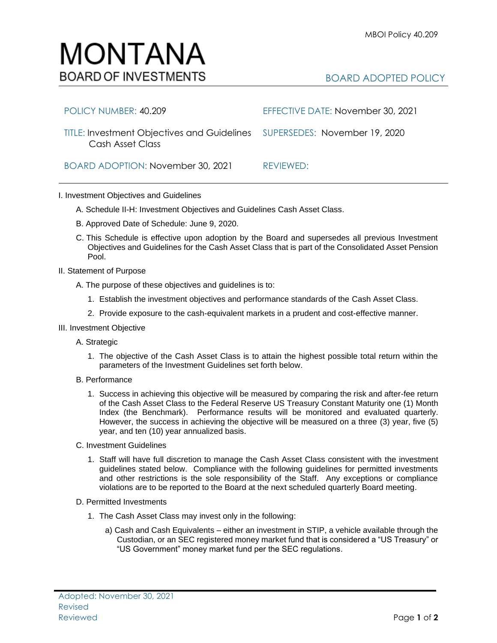## BOARD ADOPTED POLICY

| POLICY NUMBER: 40.209                                                                         | EFFECTIVE DATE: November 30, 2021 |
|-----------------------------------------------------------------------------------------------|-----------------------------------|
| TITLE: Investment Objectives and Guidelines SUPERSEDES: November 19, 2020<br>Cash Asset Class |                                   |
| BOARD ADOPTION: November 30, 2021                                                             | REVIEWED:                         |

I. Investment Objectives and Guidelines

MONTANA

**BOARD OF INVESTMENTS** 

- A. Schedule II-H: Investment Objectives and Guidelines Cash Asset Class.
- B. Approved Date of Schedule: June 9, 2020.
- C. This Schedule is effective upon adoption by the Board and supersedes all previous Investment Objectives and Guidelines for the Cash Asset Class that is part of the Consolidated Asset Pension Pool.
- II. Statement of Purpose
	- A. The purpose of these objectives and guidelines is to:
		- 1. Establish the investment objectives and performance standards of the Cash Asset Class.
		- 2. Provide exposure to the cash-equivalent markets in a prudent and cost-effective manner.
- III. Investment Objective
	- A. Strategic
		- 1. The objective of the Cash Asset Class is to attain the highest possible total return within the parameters of the Investment Guidelines set forth below.
	- B. Performance
		- 1. Success in achieving this objective will be measured by comparing the risk and after-fee return of the Cash Asset Class to the Federal Reserve US Treasury Constant Maturity one (1) Month Index (the Benchmark). Performance results will be monitored and evaluated quarterly. However, the success in achieving the objective will be measured on a three (3) year, five (5) year, and ten (10) year annualized basis.
	- C. Investment Guidelines
		- 1. Staff will have full discretion to manage the Cash Asset Class consistent with the investment guidelines stated below. Compliance with the following guidelines for permitted investments and other restrictions is the sole responsibility of the Staff. Any exceptions or compliance violations are to be reported to the Board at the next scheduled quarterly Board meeting.

## D. Permitted Investments

Adopted: November 30, 2021

Revised

- 1. The Cash Asset Class may invest only in the following:
	- a) Cash and Cash Equivalents either an investment in STIP, a vehicle available through the Custodian, or an SEC registered money market fund that is considered a "US Treasury" or "US Government" money market fund per the SEC regulations.